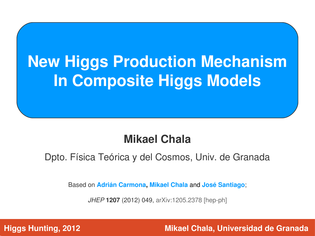# **New Higgs Production Mechanism In Composite Higgs Models**

#### **Mikael Chala**

Dpto. Física Teórica y del Cosmos, Univ. de Granada

Based on **Adrián Carmona, Mikael Chala** and **José Santiago**;

JHEP **1207** (2012) 049, arXiv:1205.2378 [hep-ph]

**Higgs Hunting, 2012**

 **Mikael Chala, Universidad de Granada**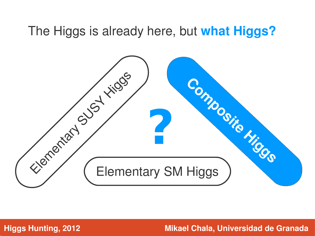#### The Higgs is already here, but **what Higgs?**

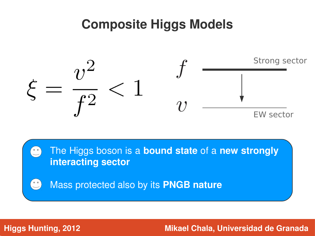### **Composite Higgs Models**



The Higgs boson is a **bound state** of a **new strongly**   $\begin{pmatrix} 0 & 0 \\ 0 & 0 \end{pmatrix}$ **interacting sector**

Mass protected also by its **PNGB nature**  $\begin{pmatrix} 0 & 0 \\ 0 & -1 \end{pmatrix}$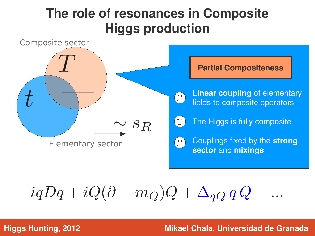## **The role of resonances in Composite Higgs production**



$$
i\bar{q}Dq + i\bar{Q}(\partial - m_Q)Q + \Delta_{qQ}\,\bar{q}\,Q + \dots
$$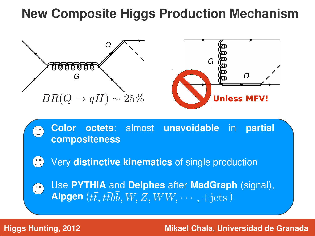## **New Composite Higgs Production Mechanism**



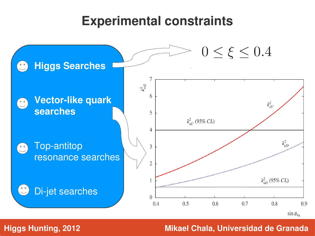#### **Experimental constraints**

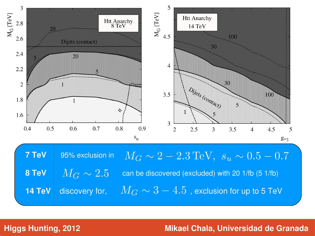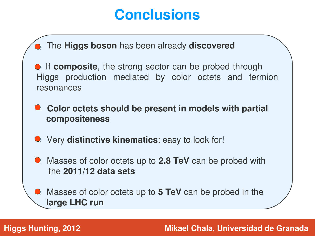# **Conclusions**

- The **Higgs boson** has been already **discovered**

**• If composite**, the strong sector can be probed through Higgs production mediated by color octets and fermion resonances

**• Color octets should be present in models with partial compositeness**

**• Very distinctive kinematics:** easy to look for!

- Masses of color octets up to **2.8 TeV** can be probed with the **2011/12 data sets**

**• Masses of color octets up to 5 TeV** can be probed in the **large LHC run**